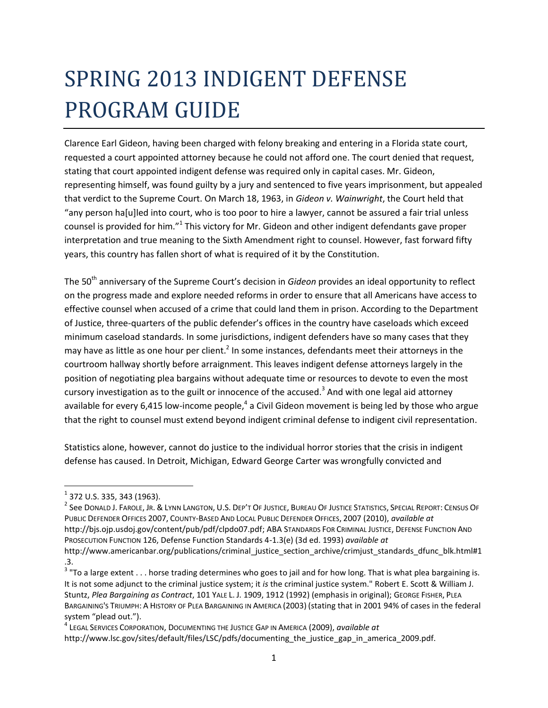# SPRING 2013 INDIGENT DEFENSE PROGRAM GUIDE

Clarence Earl Gideon, having been charged with felony breaking and entering in a Florida state court, requested a court appointed attorney because he could not afford one. The court denied that request, stating that court appointed indigent defense was required only in capital cases. Mr. Gideon, representing himself, was found guilty by a jury and sentenced to five years imprisonment, but appealed that verdict to the Supreme Court. On March 18, 1963, in *Gideon v. Wainwright*, the Court held that "any person ha[u]led into court, who is too poor to hire a lawyer, cannot be assured a fair trial unless counsel is provided for him."<sup>1</sup> This victory for Mr. Gideon and other indigent defendants gave proper interpretation and true meaning to the Sixth Amendment right to counsel. However, fast forward fifty years, this country has fallen short of what is required of it by the Constitution.

The 50<sup>th</sup> anniversary of the Supreme Court's decision in *Gideon* provides an ideal opportunity to reflect on the progress made and explore needed reforms in order to ensure that all Americans have access to effective counsel when accused of a crime that could land them in prison. According to the Department of Justice, three-quarters of the public defender's offices in the country have caseloads which exceed minimum caseload standards. In some jurisdictions, indigent defenders have so many cases that they may have as little as one hour per client.<sup>2</sup> In some instances, defendants meet their attorneys in the courtroom hallway shortly before arraignment. This leaves indigent defense attorneys largely in the position of negotiating plea bargains without adequate time or resources to devote to even the most cursory investigation as to the guilt or innocence of the accused.<sup>3</sup> And with one legal aid attorney available for every 6,415 low-income people,<sup>4</sup> a Civil Gideon movement is being led by those who argue that the right to counsel must extend beyond indigent criminal defense to indigent civil representation.

Statistics alone, however, cannot do justice to the individual horror stories that the crisis in indigent defense has caused. In Detroit, Michigan, Edward George Carter was wrongfully convicted and

 $\overline{\phantom{a}}$ 

 $^2$  See Donald J. Farole, Jr. & Lynn Langton, U.S. Dep't Of Justice, Bureau Of Justice Statistics, Special Report: Census Of PUBLIC DEFENDER OFFICES 2007, COUNTY-BASED AND LOCAL PUBLIC DEFENDER OFFICES, 2007 (2010), *available at* [http://bjs.ojp.usdoj.gov/content/pub/pdf/clpdo07.pdf;](http://bjs.ojp.usdoj.gov/content/pub/pdf/clpdo07.pdf) ABA STANDARDS FOR CRIMINAL JUSTICE, DEFENSE FUNCTION AND PROSECUTION FUNCTION 126, Defense Function Standards 4-1.3(e) (3d ed. 1993) *available at*

 $^{\rm 1}$  372 U.S. 335, 343 (1963).

[http://www.americanbar.org/publications/criminal\\_justice\\_section\\_archive/crimjust\\_standards\\_dfunc\\_blk.html#1](http://www.americanbar.org/publications/criminal_justice_section_archive/crimjust_standards_dfunc_blk.html#1.3) [.3.](http://www.americanbar.org/publications/criminal_justice_section_archive/crimjust_standards_dfunc_blk.html#1.3)

<sup>&</sup>lt;sup>3</sup> "To a large extent . . . horse trading determines who goes to jail and for how long. That is what plea bargaining is. It is not some adjunct to the criminal justice system; it *is* the criminal justice system." Robert E. Scott & William J. Stuntz, *Plea Bargaining as Contract*, 101 YALE L. J. 1909, 1912 (1992) (emphasis in original); GEORGE FISHER, PLEA BARGAINING'S TRIUMPH: A HISTORY OF PLEA BARGAINING IN AMERICA (2003) (stating that in 2001 94% of cases in the federal system "plead out.").

<sup>4</sup> LEGAL SERVICES CORPORATION, DOCUMENTING THE JUSTICE GAP IN AMERICA (2009), *available at* [http://www.lsc.gov/sites/default/files/LSC/pdfs/documenting\\_the\\_justice\\_gap\\_in\\_america\\_2009.pdf.](http://www.lsc.gov/sites/default/files/LSC/pdfs/documenting_the_justice_gap_in_america_2009.pdf)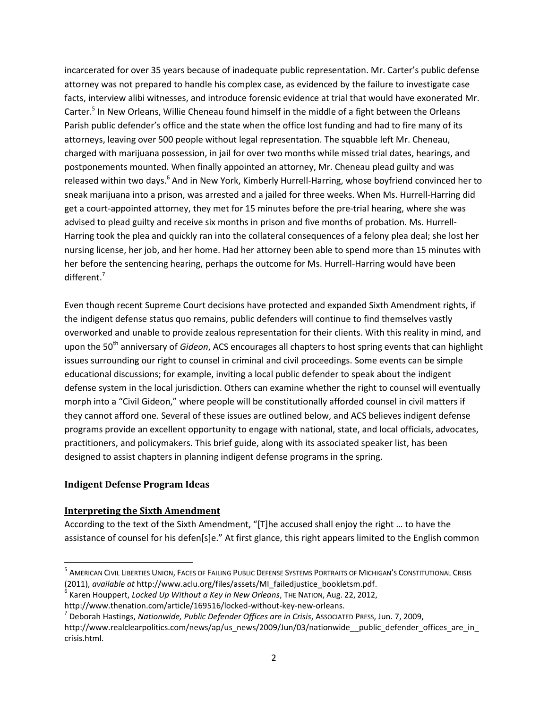incarcerated for over 35 years because of inadequate public representation. Mr. Carter's public defense attorney was not prepared to handle his complex case, as evidenced by the failure to investigate case facts, interview alibi witnesses, and introduce forensic evidence at trial that would have exonerated Mr. Carter.<sup>5</sup> In New Orleans, Willie Cheneau found himself in the middle of a fight between the Orleans Parish public defender's office and the state when the office lost funding and had to fire many of its attorneys, leaving over 500 people without legal representation. The squabble left Mr. Cheneau, charged with marijuana possession, in jail for over two months while missed trial dates, hearings, and postponements mounted. When finally appointed an attorney, Mr. Cheneau plead guilty and was released within two days.<sup>6</sup> And in New York, Kimberly Hurrell-Harring, whose boyfriend convinced her to sneak marijuana into a prison, was arrested and a jailed for three weeks. When Ms. Hurrell-Harring did get a court-appointed attorney, they met for 15 minutes before the pre-trial hearing, where she was advised to plead guilty and receive six months in prison and five months of probation. Ms. Hurrell-Harring took the plea and quickly ran into the collateral consequences of a felony plea deal; she lost her nursing license, her job, and her home. Had her attorney been able to spend more than 15 minutes with her before the sentencing hearing, perhaps the outcome for Ms. Hurrell-Harring would have been different.<sup>7</sup>

Even though recent Supreme Court decisions have protected and expanded Sixth Amendment rights, if the indigent defense status quo remains, public defenders will continue to find themselves vastly overworked and unable to provide zealous representation for their clients. With this reality in mind, and upon the 50<sup>th</sup> anniversary of *Gideon*, ACS encourages all chapters to host spring events that can highlight issues surrounding our right to counsel in criminal and civil proceedings. Some events can be simple educational discussions; for example, inviting a local public defender to speak about the indigent defense system in the local jurisdiction. Others can examine whether the right to counsel will eventually morph into a "Civil Gideon," where people will be constitutionally afforded counsel in civil matters if they cannot afford one. Several of these issues are outlined below, and ACS believes indigent defense programs provide an excellent opportunity to engage with national, state, and local officials, advocates, practitioners, and policymakers. This brief guide, along with its associated speaker list, has been designed to assist chapters in planning indigent defense programs in the spring.

## **Indigent Defense Program Ideas**

 $\overline{\phantom{a}}$ 

## **Interpreting the Sixth Amendment**

According to the text of the Sixth Amendment, "[T]he accused shall enjoy the right … to have the assistance of counsel for his defen[s]e." At first glance, this right appears limited to the English common

<sup>&</sup>lt;sup>5</sup> American Civil Liberties Union, Faces of Failing Public Defense Systems Portraits of Michigan's Constitutional Crisis (2011), *available at* [http://www.aclu.org/files/assets/MI\\_failedjustice\\_bookletsm.pdf.](http://www.aclu.org/files/assets/MI_failedjustice_bookletsm.pdf)

<sup>6</sup> Karen Houppert, *Locked Up Without a Key in New Orleans*, THE NATION, Aug. 22, 2012,

http://www.thenation.com/article/169516/locked-without-key-new-orleans.

<sup>7</sup> Deborah Hastings, *Nationwide, Public Defender Offices are in Crisis*, ASSOCIATED PRESS, Jun. 7, 2009,

http://www.realclearpolitics.com/news/ap/us\_news/2009/Jun/03/nationwide\_\_public\_defender\_offices\_are\_in [crisis.html.](http://www.realclearpolitics.com/news/ap/us_news/2009/Jun/03/nationwide__public_defender_offices_are_in_crisis.html)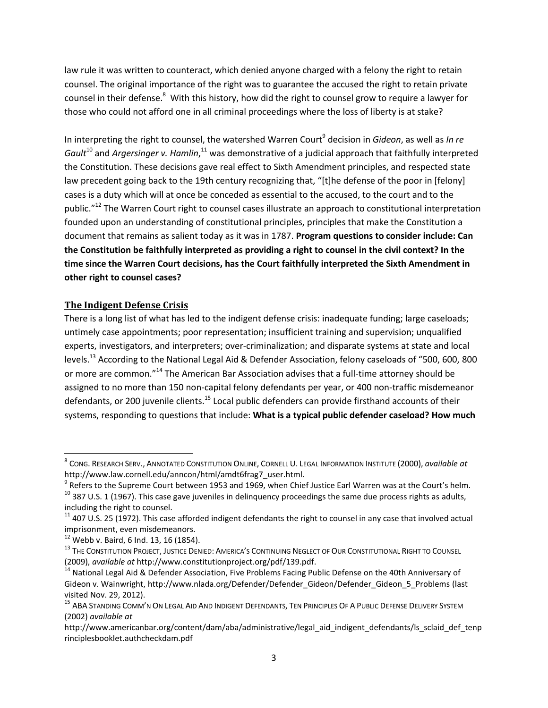law rule it was written to counteract, which denied anyone charged with a felony the right to retain counsel. The original importance of the right was to guarantee the accused the right to retain private counsel in their defense.<sup>8</sup> With this history, how did the right to counsel grow to require a lawyer for those who could not afford one in all criminal proceedings where the loss of liberty is at stake?

In interpreting the right to counsel, the watershed Warren Court<sup>9</sup> decision in *Gideon*, as well as *In re* Gault<sup>10</sup> and Argersinger v. Hamlin,<sup>11</sup> was demonstrative of a judicial approach that faithfully interpreted the Constitution. These decisions gave real effect to Sixth Amendment principles, and respected state law precedent going back to the 19th century recognizing that, "[t]he defense of the poor in [felony] cases is a duty which will at once be conceded as essential to the accused, to the court and to the public."<sup>12</sup> The Warren Court right to counsel cases illustrate an approach to constitutional interpretation founded upon an understanding of constitutional principles, principles that make the Constitution a document that remains as salient today as it was in 1787. **Program questions to consider include: Can the Constitution be faithfully interpreted as providing a right to counsel in the civil context? In the time since the Warren Court decisions, has the Court faithfully interpreted the Sixth Amendment in other right to counsel cases?** 

#### **The Indigent Defense Crisis**

There is a long list of what has led to the indigent defense crisis: inadequate funding; large caseloads; untimely case appointments; poor representation; insufficient training and supervision; unqualified experts, investigators, and interpreters; over-criminalization; and disparate systems at state and local levels.<sup>13</sup> According to the National Legal Aid & Defender Association, felony caseloads of "500, 600, 800 or more are common."<sup>14</sup> The American Bar Association advises that a full-time attorney should be assigned to no more than 150 non-capital felony defendants per year, or 400 non-traffic misdemeanor defendants, or 200 juvenile clients.<sup>15</sup> Local public defenders can provide firsthand accounts of their systems, responding to questions that include: **What is a typical public defender caseload? How much** 

 $\overline{\phantom{a}}$ 

<sup>8</sup> CONG. RESEARCH SERV., ANNOTATED CONSTITUTION ONLINE, CORNELL U. LEGAL INFORMATION INSTITUTE (2000), *available at* http://www.law.cornell.edu/anncon/html/amdt6frag7\_user.html.

 $^9$  Refers to the Supreme Court between 1953 and 1969, when Chief Justice Earl Warren was at the Court's helm.

 $10$  387 U.S. 1 (1967). This case gave juveniles in delinquency proceedings the same due process rights as adults, including the right to counsel.

 $11$  407 U.S. 25 (1972). This case afforded indigent defendants the right to counsel in any case that involved actual imprisonment, even misdemeanors.

 $12$  Webb v. Baird, 6 Ind. 13, 16 (1854).

<sup>&</sup>lt;sup>13</sup> The Constitution Project, Justice Denied: America's Continuing Neglect of Our Constitutional Right to Counsel (2009), *available at* [http://www.constitutionproject.org/pdf/139.pdf.](http://www.constitutionproject.org/pdf/139.pdf)

<sup>&</sup>lt;sup>14</sup> National Legal Aid & Defender Association, Five Problems Facing Public Defense on the 40th Anniversary of Gideon v. Wainwright, [http://www.nlada.org/Defender/Defender\\_Gideon/Defender\\_Gideon\\_5\\_Problems](http://www.nlada.org/Defender/Defender_Gideon/Defender_Gideon_5_Problems) (last visited Nov. 29, 2012).

<sup>&</sup>lt;sup>15</sup> ABA STANDING COMM'N ON LEGAL AID AND INDIGENT DEFENDANTS, TEN PRINCIPLES OF A PUBLIC DEFENSE DELIVERY SYSTEM (2002) *available at*

[http://www.americanbar.org/content/dam/aba/administrative/legal\\_aid\\_indigent\\_defendants/ls\\_sclaid\\_def\\_tenp](http://www.americanbar.org/content/dam/aba/administrative/legal_aid_indigent_defendants/ls_sclaid_def_tenprinciplesbooklet.authcheckdam.pdf) [rinciplesbooklet.authcheckdam.pdf](http://www.americanbar.org/content/dam/aba/administrative/legal_aid_indigent_defendants/ls_sclaid_def_tenprinciplesbooklet.authcheckdam.pdf)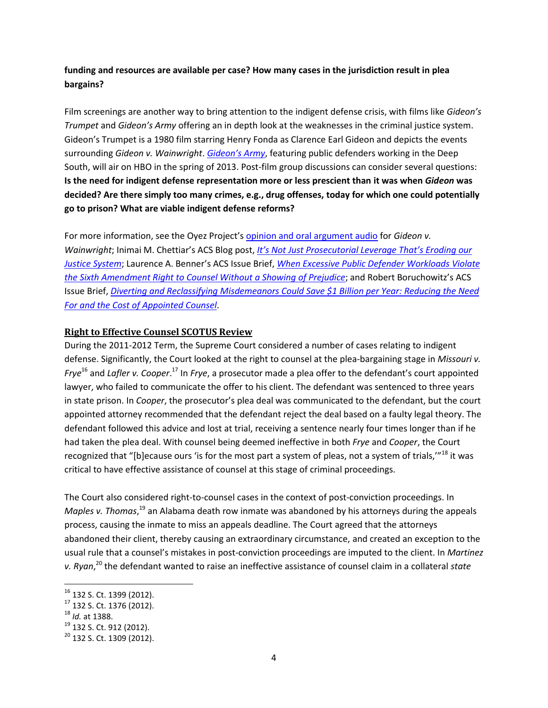# **funding and resources are available per case? How many cases in the jurisdiction result in plea bargains?**

Film screenings are another way to bring attention to the indigent defense crisis, with films like *Gideon's Trumpet* and *Gideon's Army* offering an in depth look at the weaknesses in the criminal justice system. Gideon's Trumpet is a 1980 film starring Henry Fonda as Clarence Earl Gideon and depicts the events surrounding *Gideon v. Wainwright*. *[Gideon's Army](http://www.gideonsarmythefilm.com/)*, featuring public defenders working in the Deep South, will air on HBO in the spring of 2013. Post-film group discussions can consider several questions: **Is the need for indigent defense representation more or less prescient than it was when** *Gideon* **was decided? Are there simply too many crimes, e.g., drug offenses, today for which one could potentially go to prison? What are viable indigent defense reforms?** 

For more information, see the Oyez Project's [opinion and oral argument audio](http://www.oyez.org/cases/1960-1969/1962/1962_155) for *Gideon v. Wainwright*; Inimai M. Chettiar's ACS Blog post, *[It's Not Just Prosecutorial Leverage That's Eroding our](http://www.acslaw.org/acsblog/it%E2%80%99s-not-just-prosecutorial-leverage-that%E2%80%99s-eroding-our-justice-system)  [Justice System](http://www.acslaw.org/acsblog/it%E2%80%99s-not-just-prosecutorial-leverage-that%E2%80%99s-eroding-our-justice-system)*; Laurence A. Benner's ACS Issue Brief, *[When Excessive Public Defender Workloads Violate](http://www.acslaw.org/files/BennerIB_ExcessivePD_Workloads.pdf)  [the Sixth Amendment Right to Counsel Without a Showing of Prejudice](http://www.acslaw.org/files/BennerIB_ExcessivePD_Workloads.pdf)*; and Robert Boruchowitz's ACS Issue Brief, *[Diverting and Reclassifying Misdemeanors Could Save \\$1 Billion per Year: Reducing the Need](http://www.acslaw.org/files/Boruchowitz%20-%20Misdemeanors.pdf)  [For and the Cost of Appointed Counsel](http://www.acslaw.org/files/Boruchowitz%20-%20Misdemeanors.pdf)*.

## **Right to Effective Counsel SCOTUS Review**

During the 2011-2012 Term, the Supreme Court considered a number of cases relating to indigent defense. Significantly, the Court looked at the right to counsel at the plea-bargaining stage in *Missouri v. Frye*<sup>16</sup> and *Lafler v. Cooper*. <sup>17</sup> In *Frye*, a prosecutor made a plea offer to the defendant's court appointed lawyer, who failed to communicate the offer to his client. The defendant was sentenced to three years in state prison. In *Cooper*, the prosecutor's plea deal was communicated to the defendant, but the court appointed attorney recommended that the defendant reject the deal based on a faulty legal theory. The defendant followed this advice and lost at trial, receiving a sentence nearly four times longer than if he had taken the plea deal. With counsel being deemed ineffective in both *Frye* and *Cooper*, the Court recognized that "[b]ecause ours 'is for the most part a system of pleas, not a system of trials,"<sup>18</sup> it was critical to have effective assistance of counsel at this stage of criminal proceedings.

The Court also considered right-to-counsel cases in the context of post-conviction proceedings. In Maples v. Thomas,<sup>19</sup> an Alabama death row inmate was abandoned by his attorneys during the appeals process, causing the inmate to miss an appeals deadline. The Court agreed that the attorneys abandoned their client, thereby causing an extraordinary circumstance, and created an exception to the usual rule that a counsel's mistakes in post-conviction proceedings are imputed to the client. In *Martinez v. Ryan*, <sup>20</sup> the defendant wanted to raise an ineffective assistance of counsel claim in a collateral *state*

l

<sup>&</sup>lt;sup>16</sup> 132 S. Ct. 1399 (2012).

<sup>17</sup> 132 S. Ct. 1376 (2012).

<sup>18</sup> *Id.* at 1388.

 $19$  132 S. Ct. 912 (2012).

<sup>&</sup>lt;sup>20</sup> 132 S. Ct. 1309 (2012).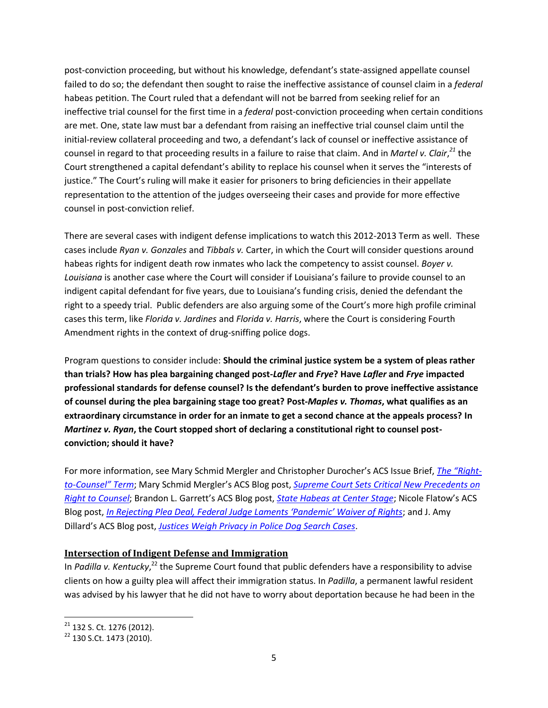post-conviction proceeding, but without his knowledge, defendant's state-assigned appellate counsel failed to do so; the defendant then sought to raise the ineffective assistance of counsel claim in a *federal* habeas petition. The Court ruled that a defendant will not be barred from seeking relief for an ineffective trial counsel for the first time in a *federal* post-conviction proceeding when certain conditions are met. One, state law must bar a defendant from raising an ineffective trial counsel claim until the initial-review collateral proceeding and two, a defendant's lack of counsel or ineffective assistance of counsel in regard to that proceeding results in a failure to raise that claim. And in *Martel v. Clair*, *<sup>21</sup>* the Court strengthened a capital defendant's ability to replace his counsel when it serves the "interests of justice." The Court's ruling will make it easier for prisoners to bring deficiencies in their appellate representation to the attention of the judges overseeing their cases and provide for more effective counsel in post-conviction relief.

There are several cases with indigent defense implications to watch this 2012-2013 Term as well. These cases include *Ryan v. Gonzales* and *Tibbals v.* Carter, in which the Court will consider questions around habeas rights for indigent death row inmates who lack the competency to assist counsel. *Boyer v. Louisiana* is another case where the Court will consider if Louisiana's failure to provide counsel to an indigent capital defendant for five years, due to Louisiana's funding crisis, denied the defendant the right to a speedy trial. Public defenders are also arguing some of the Court's more high profile criminal cases this term, like *Florida v. Jardines* and *Florida v. Harris*, where the Court is considering Fourth Amendment rights in the context of drug-sniffing police dogs.

Program questions to consider include: **Should the criminal justice system be a system of pleas rather than trials? How has plea bargaining changed post-***Lafler* **and** *Frye***? Have** *Lafler* **and** *Frye* **impacted professional standards for defense counsel? Is the defendant's burden to prove ineffective assistance of counsel during the plea bargaining stage too great? Post-***Maples v. Thomas***, what qualifies as an extraordinary circumstance in order for an inmate to get a second chance at the appeals process? In**  *Martinez v. Ryan***, the Court stopped short of declaring a constitutional right to counsel postconviction; should it have?**

For more information, see Mary Schmid Mergler and Christopher Durocher's ACS Issue Brief, *[The "Right](http://www.acslaw.org/sites/default/files/Schmid_Durocher_-_Right-to-Counsel_Term.pd)to-[Counsel" Term](http://www.acslaw.org/sites/default/files/Schmid_Durocher_-_Right-to-Counsel_Term.pd)*; Mary Schmid Mergler's ACS Blog post, *[Supreme Court Sets Critical New Precedents on](http://www.acslaw.org/acsblog/supreme-court-sets-critical-new-precedents-on-right-to-counsel;)  [Right to Counsel](http://www.acslaw.org/acsblog/supreme-court-sets-critical-new-precedents-on-right-to-counsel;)*; Brandon L. Garrett's ACS Blog post, *[State Habeas at Center Stage](http://www.acslaw.org/acsblog/state-habeas-at-center-stage)*; Nicole Flatow's ACS Blog post, *In Rejecting Ple[a Deal, Federal Judge Laments 'Pandemic' Waiver of Rights](http://www.acslaw.org/acsblog/in-rejecting-plea-deal-federal-judge-laments-%E2%80%98pandemic%E2%80%99-waiver-of-rights)*; and J. Amy Dillard's ACS Blog post, *[Justices Weigh Privacy in Police Dog Search Cases](http://www.acslaw.org/acsblog/justices-weigh-privacy-in-police-dog-search-cases)*.

#### **Intersection of Indigent Defense and Immigration**

In Padilla v. Kentucky,<sup>22</sup> the Supreme Court found that public defenders have a responsibility to advise clients on how a guilty plea will affect their immigration status. In *Padilla*, a permanent lawful resident was advised by his lawyer that he did not have to worry about deportation because he had been in the

l

 $21$  132 S. Ct. 1276 (2012).

<sup>&</sup>lt;sup>22</sup> 130 S.Ct. 1473 (2010).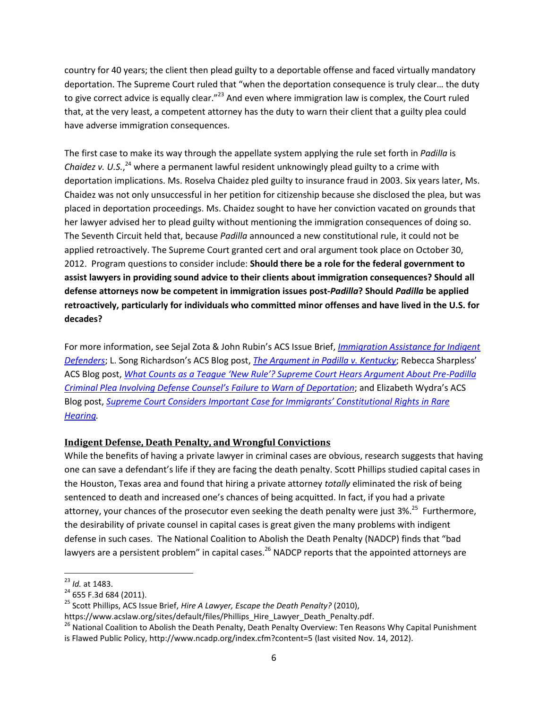country for 40 years; the client then plead guilty to a deportable offense and faced virtually mandatory deportation. The Supreme Court ruled that "when the deportation consequence is truly clear… the duty to give correct advice is equally clear."<sup>23</sup> And even where immigration law is complex, the Court ruled that, at the very least, a competent attorney has the duty to warn their client that a guilty plea could have adverse immigration consequences.

The first case to make its way through the appellate system applying the rule set forth in *Padilla* is Chaidez v. U.S.,<sup>24</sup> where a permanent lawful resident unknowingly plead guilty to a crime with deportation implications. Ms. Roselva Chaidez pled guilty to insurance fraud in 2003. Six years later, Ms. Chaidez was not only unsuccessful in her petition for citizenship because she disclosed the plea, but was placed in deportation proceedings. Ms. Chaidez sought to have her conviction vacated on grounds that her lawyer advised her to plead guilty without mentioning the immigration consequences of doing so. The Seventh Circuit held that, because *Padilla* announced a new constitutional rule, it could not be applied retroactively. The Supreme Court granted cert and oral argument took place on October 30, 2012. Program questions to consider include: **Should there be a role for the federal government to assist lawyers in providing sound advice to their clients about immigration consequences? Should all defense attorneys now be competent in immigration issues post-***Padilla***? Should** *Padilla* **be applied retroactively, particularly for individuals who committed minor offenses and have lived in the U.S. for decades?**

For more information, see Sejal Zota & John Rubin's ACS Issue Brief, *[Immigration Assistance for Indigent](http://www.acslaw.org/sites/default/files/Zota_Rubin_-_Immigration_Assistance.pdf)  [Defenders](http://www.acslaw.org/sites/default/files/Zota_Rubin_-_Immigration_Assistance.pdf)*; L. Song Richardson's ACS Blog post, *[The Argument in Padilla v. Kentucky](http://www.acslaw.org/acsblog/node/14460)*; Rebecca Sharpless' ACS Blog post, *[What Counts as a Teague 'New Rule'? Supreme Court Hears Argument About Pre](http://www.acslaw.org/acsblog/what-counts-as-a-teague-%E2%80%98new-rule%E2%80%99-supreme-court-hears-argument-about-pre-padilla-criminal-p)-Padilla [Criminal Plea Involving Defense Counsel's Failure to Warn of](http://www.acslaw.org/acsblog/what-counts-as-a-teague-%E2%80%98new-rule%E2%80%99-supreme-court-hears-argument-about-pre-padilla-criminal-p) Deportation*; and Elizabeth Wydra's ACS Blog post, *[Supreme Court Considers Important Case for Immigrants' Constitutional Rights in Rare](http://www.acslaw.org/acsblog/supreme-court-considers-important-case-for-immigrants%E2%80%99-constitutional-rights-in-rare-hearing)  [Hearing.](http://www.acslaw.org/acsblog/supreme-court-considers-important-case-for-immigrants%E2%80%99-constitutional-rights-in-rare-hearing)*

# **Indigent Defense, Death Penalty, and Wrongful Convictions**

While the benefits of having a private lawyer in criminal cases are obvious, research suggests that having one can save a defendant's life if they are facing the death penalty. Scott Phillips studied capital cases in the Houston, Texas area and found that hiring a private attorney *totally* eliminated the risk of being sentenced to death and increased one's chances of being acquitted. In fact, if you had a private attorney, your chances of the prosecutor even seeking the death penalty were just 3%.<sup>25</sup> Furthermore, the desirability of private counsel in capital cases is great given the many problems with indigent defense in such cases. The National Coalition to Abolish the Death Penalty (NADCP) finds that "bad lawyers are a persistent problem" in capital cases.<sup>26</sup> NADCP reports that the appointed attorneys are

 $\overline{a}$ <sup>23</sup> *Id.* at 1483.

 $24$  655 F.3d 684 (2011).

<sup>25</sup> Scott Phillips, ACS Issue Brief, *Hire A Lawyer, Escape the Death Penalty?* (2010),

[https://www.acslaw.org/sites/default/files/Phillips\\_Hire\\_Lawyer\\_Death\\_Penalty.pdf.](https://www.acslaw.org/sites/default/files/Phillips_Hire_Lawyer_Death_Penalty.pdf)

<sup>&</sup>lt;sup>26</sup> National Coalition to Abolish the Death Penalty, Death Penalty Overview: Ten Reasons Why Capital Punishment is Flawed Public Policy,<http://www.ncadp.org/index.cfm?content=5> (last visited Nov. 14, 2012).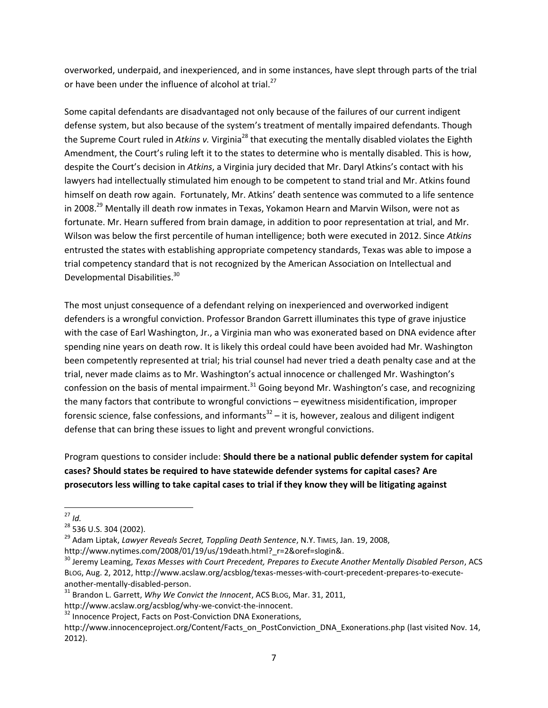overworked, underpaid, and inexperienced, and in some instances, have slept through parts of the trial or have been under the influence of alcohol at trial.<sup>27</sup>

Some capital defendants are disadvantaged not only because of the failures of our current indigent defense system, but also because of the system's treatment of mentally impaired defendants. Though the Supreme Court ruled in *Atkins v.* Virginia<sup>28</sup> that executing the mentally disabled violates the Eighth Amendment, the Court's ruling left it to the states to determine who is mentally disabled. This is how, despite the Court's decision in *Atkins*, a Virginia jury decided that Mr. Daryl Atkins's contact with his lawyers had intellectually stimulated him enough to be competent to stand trial and Mr. Atkins found himself on death row again. Fortunately, Mr. Atkins' death sentence was commuted to a life sentence in 2008.<sup>29</sup> Mentally ill death row inmates in Texas, Yokamon Hearn and Marvin Wilson, were not as fortunate. Mr. Hearn suffered from brain damage, in addition to poor representation at trial, and Mr. Wilson was below the first percentile of human intelligence; both were executed in 2012. Since *Atkins* entrusted the states with establishing appropriate competency standards, Texas was able to impose a trial competency standard that is not recognized by the American Association on Intellectual and Developmental Disabilities.<sup>30</sup>

The most unjust consequence of a defendant relying on inexperienced and overworked indigent defenders is a wrongful conviction. Professor Brandon Garrett illuminates this type of grave injustice with the case of Earl Washington, Jr., a Virginia man who was exonerated based on DNA evidence after spending nine years on death row. It is likely this ordeal could have been avoided had Mr. Washington been competently represented at trial; his trial counsel had never tried a death penalty case and at the trial, never made claims as to Mr. Washington's actual innocence or challenged Mr. Washington's confession on the basis of mental impairment.<sup>31</sup> Going beyond Mr. Washington's case, and recognizing the many factors that contribute to wrongful convictions – eyewitness misidentification, improper forensic science, false confessions, and informants<sup>32</sup> – it is, however, zealous and diligent indigent defense that can bring these issues to light and prevent wrongful convictions.

Program questions to consider include: **Should there be a national public defender system for capital cases? Should states be required to have statewide defender systems for capital cases? Are prosecutors less willing to take capital cases to trial if they know they will be litigating against** 

 $\overline{\phantom{a}}$ <sup>27</sup> *Id.*

<sup>28</sup> 536 U.S. 304 (2002).

<sup>29</sup> Adam Liptak, *Lawyer Reveals Secret, Toppling Death Sentence*, N.Y. TIMES, Jan. 19, 2008, [http://www.nytimes.com/2008/01/19/us/19death.html?\\_r=2&oref=slogin&.](http://www.nytimes.com/2008/01/19/us/19death.html?_r=2&oref=slogin&) 

<sup>30</sup> Jeremy Leaming, *Texas Messes with Court Precedent, Prepares to Execute Another Mentally Disabled Person*, ACS BLOG, Aug. 2, 2012, [http://www.acslaw.org/acsblog/texas-messes-with-court-precedent-prepares-to-execute](http://www.acslaw.org/acsblog/texas-messes-with-court-precedent-prepares-to-execute-another-mentally-disabled-person)[another-mentally-disabled-person.](http://www.acslaw.org/acsblog/texas-messes-with-court-precedent-prepares-to-execute-another-mentally-disabled-person)

<sup>31</sup> Brandon L. Garrett, *Why We Convict the Innocent*, ACS BLOG, Mar. 31, 2011,

[http://www.acslaw.org/acsblog/why-we-convict-the-innocent.](http://www.acslaw.org/acsblog/why-we-convict-the-innocent)

<sup>&</sup>lt;sup>32</sup> Innocence Project, Facts on Post-Conviction DNA Exonerations,

[http://www.innocenceproject.org/Content/Facts\\_on\\_PostConviction\\_DNA\\_Exonerations.php](http://www.innocenceproject.org/Content/Facts_on_PostConviction_DNA_Exonerations.php) (last visited Nov. 14, 2012).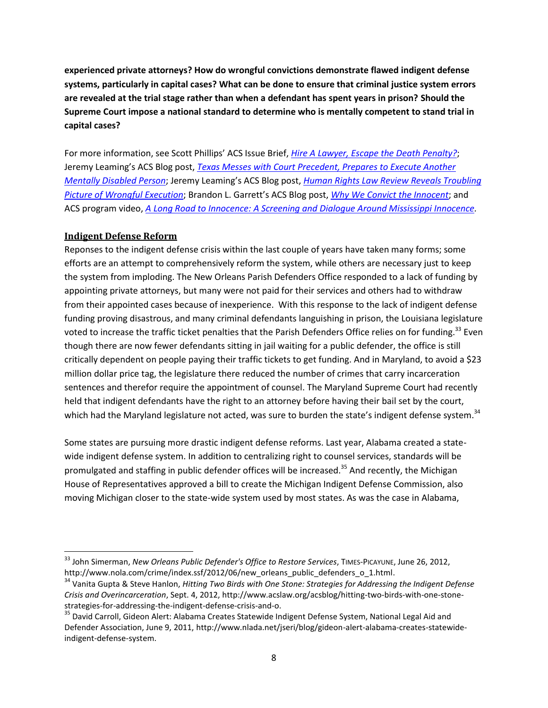**experienced private attorneys? How do wrongful convictions demonstrate flawed indigent defense systems, particularly in capital cases? What can be done to ensure that criminal justice system errors are revealed at the trial stage rather than when a defendant has spent years in prison? Should the Supreme Court impose a national standard to determine who is mentally competent to stand trial in capital cases?**

For more information, see Scott Phillips' ACS Issue Brief, *[Hire A Lawyer, Escape the Death Penalty?](https://www.acslaw.org/sites/default/files/Phillips_Hire_Lawyer_Death_Penalty.pdf)*; Jeremy Leaming's ACS Blog post, *[Texas Messes with Court Precedent, Prepares to Execute Another](http://www.acslaw.org/acsblog/texas-messes-with-court-precedent-prepares-to-execute-another-mentally-disabled-person)  [Mentally Disabled Person](http://www.acslaw.org/acsblog/texas-messes-with-court-precedent-prepares-to-execute-another-mentally-disabled-person)*; Jeremy Leaming's ACS Blog post, *[Human Rights Law Review Reveals Troubling](http://www.acslaw.org/acsblog/human-rights-law-review-reveals-troubling-picture-of-wrongful-execution)  [Picture of Wrongful Execution](http://www.acslaw.org/acsblog/human-rights-law-review-reveals-troubling-picture-of-wrongful-execution)*; Brandon L. Garrett's ACS Blog post, *[Why We Convict the Innocent](http://www.acslaw.org/acsblog/why-we-convict-the-innocent)*; and ACS program video, *[A Long Road to Innocence: A Screening and Dialogue Around Mississippi Innocence.](http://www.acslaw.org/news/video/a-long-road-to-innocence-a-screening-and-dialogue-around-mississippi-innocence)* 

#### **Indigent Defense Reform**

 $\overline{\phantom{a}}$ 

Reponses to the indigent defense crisis within the last couple of years have taken many forms; some efforts are an attempt to comprehensively reform the system, while others are necessary just to keep the system from imploding. The New Orleans Parish Defenders Office responded to a lack of funding by appointing private attorneys, but many were not paid for their services and others had to withdraw from their appointed cases because of inexperience. With this response to the lack of indigent defense funding proving disastrous, and many criminal defendants languishing in prison, the Louisiana legislature voted to increase the traffic ticket penalties that the Parish Defenders Office relies on for funding.<sup>33</sup> Even though there are now fewer defendants sitting in jail waiting for a public defender, the office is still critically dependent on people paying their traffic tickets to get funding. And in Maryland, to avoid a \$23 million dollar price tag, the legislature there reduced the number of crimes that carry incarceration sentences and therefor require the appointment of counsel. The Maryland Supreme Court had recently held that indigent defendants have the right to an attorney before having their bail set by the court, which had the Maryland legislature not acted, was sure to burden the state's indigent defense system.<sup>34</sup>

Some states are pursuing more drastic indigent defense reforms. Last year, Alabama created a statewide indigent defense system. In addition to centralizing right to counsel services, standards will be promulgated and staffing in public defender offices will be increased.<sup>35</sup> And recently, the Michigan House of Representatives approved a bill to create the Michigan Indigent Defense Commission, also moving Michigan closer to the state-wide system used by most states. As was the case in Alabama,

<sup>&</sup>lt;sup>33</sup> John Simerman, *New Orleans Public Defender's Office to Restore Services*, TIMES-PICAYUNE, June 26, 2012, [http://www.nola.com/crime/index.ssf/2012/06/new\\_orleans\\_public\\_defenders\\_o\\_1.html.](http://www.nola.com/crime/index.ssf/2012/06/new_orleans_public_defenders_o_1.html)

<sup>34</sup> Vanita Gupta & Steve Hanlon, *Hitting Two Birds with One Stone: Strategies for Addressing the Indigent Defense Crisis and Overincarceration*, Sept. 4, 2012, [http://www.acslaw.org/acsblog/hitting-two-birds-with-one-stone](http://www.acslaw.org/acsblog/hitting-two-birds-with-one-stone-strategies-for-addressing-the-indigent-defense-crisis-and-o)[strategies-for-addressing-the-indigent-defense-crisis-and-o.](http://www.acslaw.org/acsblog/hitting-two-birds-with-one-stone-strategies-for-addressing-the-indigent-defense-crisis-and-o)

<sup>&</sup>lt;sup>35</sup> David Carroll, Gideon Alert: Alabama Creates Statewide Indigent Defense System, National Legal Aid and Defender Association, June 9, 2011, [http://www.nlada.net/jseri/blog/gideon-alert-alabama-creates-statewide](http://www.nlada.net/jseri/blog/gideon-alert-alabama-creates-statewide-indigent-defense-system)[indigent-defense-system.](http://www.nlada.net/jseri/blog/gideon-alert-alabama-creates-statewide-indigent-defense-system)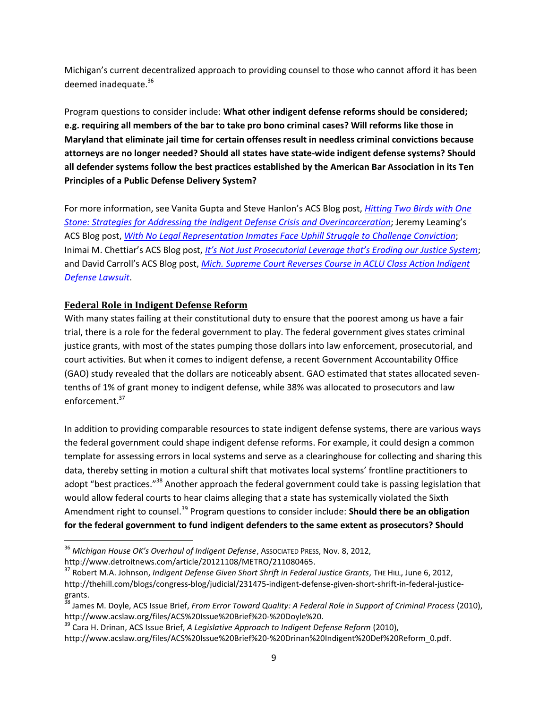Michigan's current decentralized approach to providing counsel to those who cannot afford it has been deemed inadequate.<sup>36</sup>

Program questions to consider include: **What other indigent defense reforms should be considered; e.g. requiring all members of the bar to take pro bono criminal cases? Will reforms like those in Maryland that eliminate jail time for certain offenses result in needless criminal convictions because attorneys are no longer needed? Should all states have state-wide indigent defense systems? Should all defender systems follow the best practices established by the American Bar Association in its Ten Principles of a Public Defense Delivery System?** 

For more information, see Vanita Gupta and Steve Hanlon's ACS Blog post, *[Hitting Two Birds with One](http://www.acslaw.org/acsblog/hitting-two-birds-with-one-stone-strategies-for-addressing-the-indigent-defense-crisis-and-o)  [Stone: Strategies for Addressing the Indigent Defense Crisis and Overincarceration](http://www.acslaw.org/acsblog/hitting-two-birds-with-one-stone-strategies-for-addressing-the-indigent-defense-crisis-and-o)*; Jeremy Leaming's ACS Blog post, *[With No Legal Representation Inmates Face Uphill Struggle to Challenge Conviction](http://www.acslaw.org/acsblog/with-no-legal-representation-inmates-face-uphill-struggle-to-challenge-convictions)*; Inimai M. Chettiar's ACS Blog post, *[It's Not Just Prosecutorial Leverage that's Eroding our Justice System](http://www.acslaw.org/acsblog/it%E2%80%99s-not-just-prosecutorial-leverage-that%E2%80%99s-eroding-our-justice-system)*; and David Carroll's ACS Blog post, *[Mich. Supreme Court Reverses Course in ACLU Class Action Indigent](http://www.acslaw.org/acsblog/mich-supreme-court-reverses-course-in-aclu-class-action-indigent-defense-lawsuit)  [Defense Lawsuit](http://www.acslaw.org/acsblog/mich-supreme-court-reverses-course-in-aclu-class-action-indigent-defense-lawsuit)*.

## **Federal Role in Indigent Defense Reform**

With many states failing at their constitutional duty to ensure that the poorest among us have a fair trial, there is a role for the federal government to play. The federal government gives states criminal justice grants, with most of the states pumping those dollars into law enforcement, prosecutorial, and court activities. But when it comes to indigent defense, a recent Government Accountability Office (GAO) study revealed that the dollars are noticeably absent. GAO estimated that states allocated seventenths of 1% of grant money to indigent defense, while 38% was allocated to prosecutors and law enforcement.<sup>37</sup>

In addition to providing comparable resources to state indigent defense systems, there are various ways the federal government could shape indigent defense reforms. For example, it could design a common template for assessing errors in local systems and serve as a clearinghouse for collecting and sharing this data, thereby setting in motion a cultural shift that motivates local systems' frontline practitioners to adopt "best practices."<sup>38</sup> Another approach the federal government could take is passing legislation that would allow federal courts to hear claims alleging that a state has systemically violated the Sixth Amendment right to counsel.<sup>39</sup> Program questions to consider include: **Should there be an obligation for the federal government to fund indigent defenders to the same extent as prosecutors? Should** 

 $\overline{\phantom{a}}$ 

<sup>36</sup> *Michigan House OK's Overhaul of Indigent Defense*, ASSOCIATED PRESS, Nov. 8, 2012,

[http://www.detroitnews.com/article/20121108/METRO/211080465.](http://www.detroitnews.com/article/20121108/METRO/211080465)

<sup>&</sup>lt;sup>37</sup> Robert M.A. Johnson, *Indigent Defense Given Short Shrift in Federal Justice Grants*, THE HILL, June 6, 2012, [http://thehill.com/blogs/congress-blog/judicial/231475-indigent-defense-given-short-shrift-in-federal-justice](http://thehill.com/blogs/congress-blog/judicial/231475-indigent-defense-given-short-shrift-in-federal-justice-grants)[grants.](http://thehill.com/blogs/congress-blog/judicial/231475-indigent-defense-given-short-shrift-in-federal-justice-grants) 

<sup>38</sup> James M. Doyle, ACS Issue Brief, *From Error Toward Quality: A Federal Role in Support of Criminal Process* (2010), [http://www.acslaw.org/files/ACS%20Issue%20Brief%20-%20Doyle%20.](http://www.acslaw.org/files/ACS%20Issue%20Brief%20-%20Doyle)

<sup>39</sup> Cara H. Drinan, ACS Issue Brief, *A Legislative Approach to Indigent Defense Reform* (2010),

[http://www.acslaw.org/files/ACS%20Issue%20Brief%20-%20Drinan%20Indigent%20Def%20Reform\\_0.pdf.](http://www.acslaw.org/files/ACS%20Issue%20Brief%20-%20Drinan%20Indigent%20Def%20Reform_0.pdf)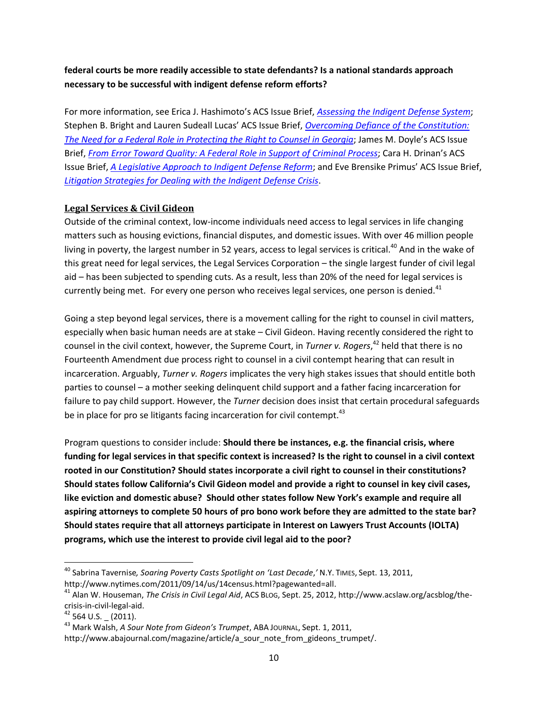# **federal courts be more readily accessible to state defendants? Is a national standards approach necessary to be successful with indigent defense reform efforts?**

For more information, see Erica J. Hashimoto's ACS Issue Brief, *[Assessing the Indigent Defense System](http://www.acslaw.org/files/Hashimoto%20Indigent%20Defense.pdf)*; Stephen B. Bright and Lauren Sudeall Lucas' ACS Issue Brief, *[Overcoming Defiance of the Constitution:](http://www.acslaw.org/files/Bright%20and%20Lucas%20-%20Right%20to%20Counsel.pdf)  [The Need for a Federal Role in Protecting the Right to Counsel in Georgia](http://www.acslaw.org/files/Bright%20and%20Lucas%20-%20Right%20to%20Counsel.pdf)*; James M. Doyle's ACS Issue Brief, *[From Error Toward Quality: A Federal Role in Support of Criminal Process](http://www.acslaw.org/files/ACS%20Issue%20Brief%20-%20Doyle%20-%20From%20Error%20Toward%20Quality.pdf)*; Cara H. Drinan's ACS Issue Brief, *[A Legislative Approach to Indigent Defense Reform](http://www.acslaw.org/files/ACS%20Issue%20Brief%20-%20Drinan%20Indigent%20Def%20Reform_0.pdf)*; and Eve Brensike Primus' ACS Issue Brief, *[Litigation Strategies for Dealing with the Indigent Defense Crisis](http://www.acslaw.org/files/Primus%20-%20Litigation%20Strategies.pdf)*.

#### **Legal Services & Civil Gideon**

Outside of the criminal context, low-income individuals need access to legal services in life changing matters such as housing evictions, financial disputes, and domestic issues. With over 46 million people living in poverty, the largest number in 52 years, access to legal services is critical.<sup>40</sup> And in the wake of this great need for legal services, the Legal Services Corporation – the single largest funder of civil legal aid – has been subjected to spending cuts. As a result, less than 20% of the need for legal services is currently being met. For every one person who receives legal services, one person is denied.<sup>41</sup>

Going a step beyond legal services, there is a movement calling for the right to counsel in civil matters, especially when basic human needs are at stake – Civil Gideon. Having recently considered the right to counsel in the civil context, however, the Supreme Court, in *Turner v. Rogers*, <sup>42</sup> held that there is no Fourteenth Amendment due process right to counsel in a civil contempt hearing that can result in incarceration. Arguably, *Turner v. Rogers* implicates the very high stakes issues that should entitle both parties to counsel – a mother seeking delinquent child support and a father facing incarceration for failure to pay child support. However, the *Turner* decision does insist that certain procedural safeguards be in place for pro se litigants facing incarceration for civil contempt.  $43$ 

Program questions to consider include: **Should there be instances, e.g. the financial crisis, where funding for legal services in that specific context is increased? Is the right to counsel in a civil context rooted in our Constitution? Should states incorporate a civil right to counsel in their constitutions? Should states follow California's Civil Gideon model and provide a right to counsel in key civil cases, like eviction and domestic abuse? Should other states follow New York's example and require all aspiring attorneys to complete 50 hours of pro bono work before they are admitted to the state bar? Should states require that all attorneys participate in Interest on Lawyers Trust Accounts (IOLTA) programs, which use the interest to provide civil legal aid to the poor?**

 $\overline{\phantom{a}}$ 

<sup>40</sup> Sabrina Tavernise*, Soaring Poverty Casts Spotlight on 'Last Decade*,*'* N.Y. TIMES, Sept. 13, 2011, [http://www.nytimes.com/2011/09/14/us/14census.html?pagewanted=all.](http://www.nytimes.com/2011/09/14/us/14census.html?pagewanted=all)

<sup>41</sup> Alan W. Houseman, *The Crisis in Civil Legal Aid*, ACS BLOG, Sept. 25, 2012, [http://www.acslaw.org/acsblog/the](http://www.acslaw.org/acsblog/the-crisis-in-civil-legal-aid)[crisis-in-civil-legal-aid.](http://www.acslaw.org/acsblog/the-crisis-in-civil-legal-aid)

 $42$  564 U.S.  $(2011)$ .

<sup>43</sup> Mark Walsh, *A Sour Note from Gideon's Trumpet*, ABA JOURNAL, Sept. 1, 2011,

http://www.abajournal.com/magazine/article/a\_sour\_note\_from\_gideons\_trumpet/.